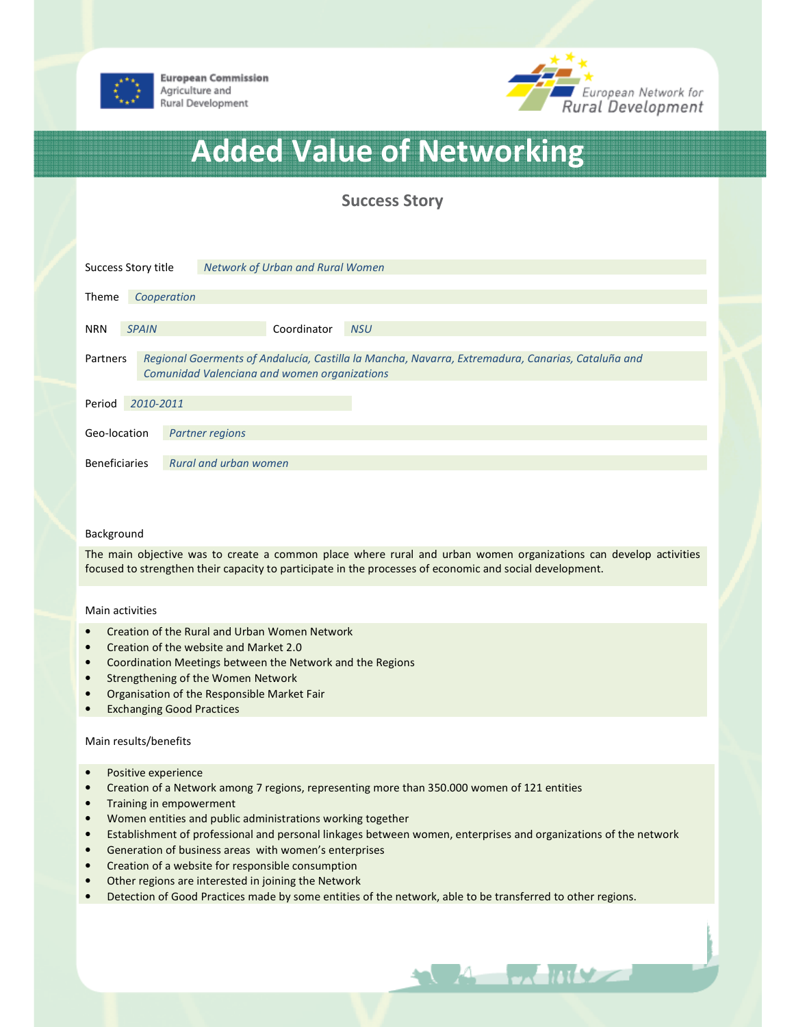

**European Commission** Agriculture and Rural Development



# Added Value of Networking

# Success Story

| Success Story title                                                                                                                                                  |             |                        | Network of Urban and Rural Women |            |  |
|----------------------------------------------------------------------------------------------------------------------------------------------------------------------|-------------|------------------------|----------------------------------|------------|--|
| Theme                                                                                                                                                                | Cooperation |                        |                                  |            |  |
| <b>SPAIN</b><br><b>NRN</b>                                                                                                                                           |             |                        | Coordinator                      | <b>NSU</b> |  |
| Regional Goerments of Andalucía, Castilla la Mancha, Navarra, Extremadura, Canarias, Cataluña and<br>Partners<br><b>Comunidad Valenciana and women organizations</b> |             |                        |                                  |            |  |
| Period                                                                                                                                                               | 2010-2011   |                        |                                  |            |  |
| Geo-location                                                                                                                                                         |             | <b>Partner regions</b> |                                  |            |  |
| <b>Beneficiaries</b>                                                                                                                                                 |             | Rural and urban women  |                                  |            |  |

#### Background

The main objective was to create a common place where rural and urban women organizations can develop activities focused to strengthen their capacity to participate in the processes of economic and social development.

#### Main activities

- Creation of the Rural and Urban Women Network
- Creation of the website and Market 2.0
- Coordination Meetings between the Network and the Regions
- Strengthening of the Women Network
- Organisation of the Responsible Market Fair
- Exchanging Good Practices

#### Main results/benefits

- Positive experience
- Creation of a Network among 7 regions, representing more than 350.000 women of 121 entities
- Training in empowerment
- Women entities and public administrations working together
- Establishment of professional and personal linkages between women, enterprises and organizations of the network

**A MILL** 

- Generation of business areas with women's enterprises
- Creation of a website for responsible consumption
- Other regions are interested in joining the Network
- Detection of Good Practices made by some entities of the network, able to be transferred to other regions.